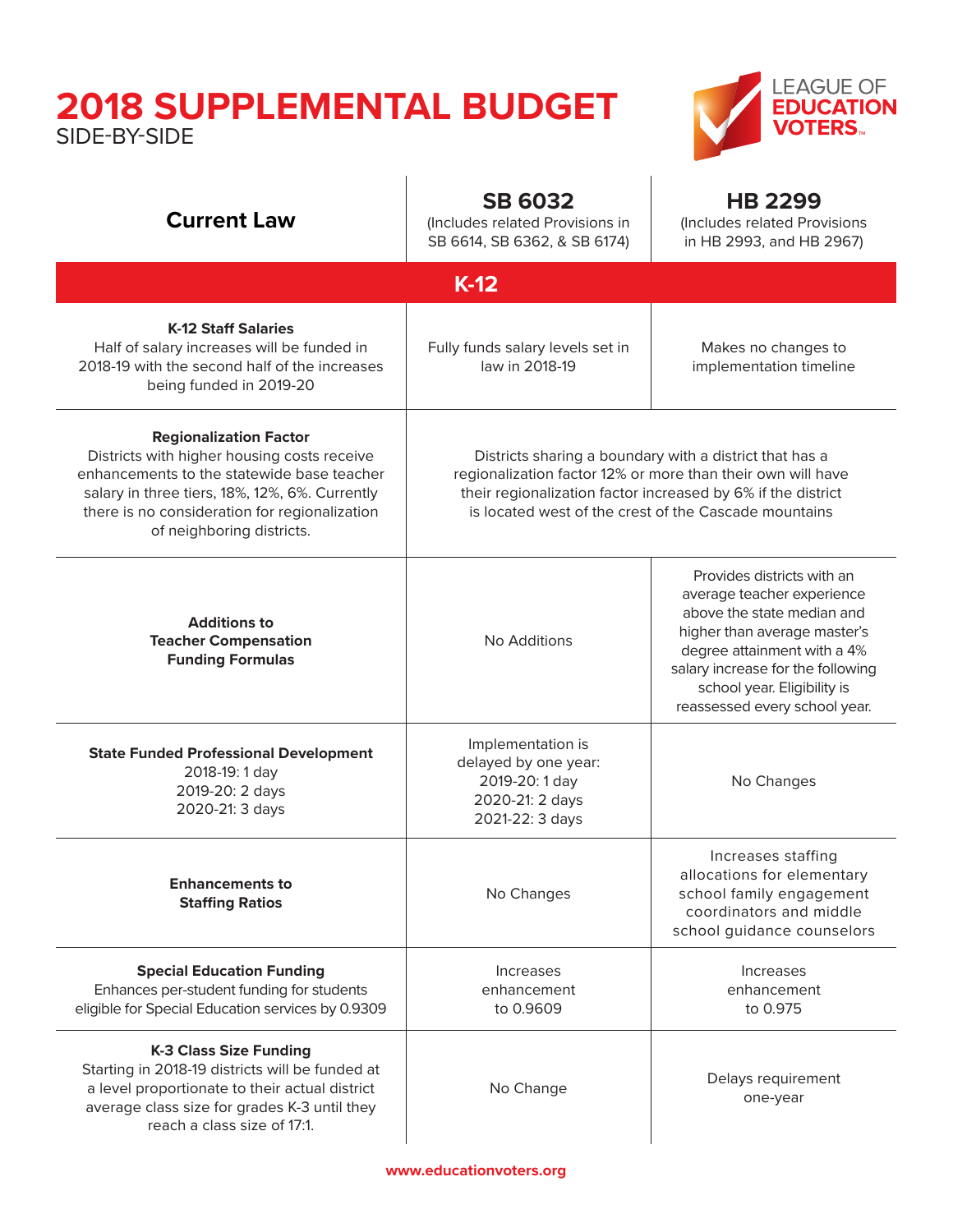## **2018 SUPPLEMENTAL BUDGET**  SIDE-BY-SIDE

**Current Law**



## **SB 6032**

(Includes related Provisions in SB 6614, SB 6362, & SB 6174)

**HB 2299** (Includes related Provisions

|                                                                                                                                                                                                                                                            | SB 6614, SB 6362, & SB 6174)                                                                                                                                                                                                                    | in HB 2993, and HB 2967)                                                                                                                                                                                                                                   |  |
|------------------------------------------------------------------------------------------------------------------------------------------------------------------------------------------------------------------------------------------------------------|-------------------------------------------------------------------------------------------------------------------------------------------------------------------------------------------------------------------------------------------------|------------------------------------------------------------------------------------------------------------------------------------------------------------------------------------------------------------------------------------------------------------|--|
| $K-12$                                                                                                                                                                                                                                                     |                                                                                                                                                                                                                                                 |                                                                                                                                                                                                                                                            |  |
| <b>K-12 Staff Salaries</b><br>Half of salary increases will be funded in<br>2018-19 with the second half of the increases<br>being funded in 2019-20                                                                                                       | Fully funds salary levels set in<br>law in 2018-19                                                                                                                                                                                              | Makes no changes to<br>implementation timeline                                                                                                                                                                                                             |  |
| <b>Regionalization Factor</b><br>Districts with higher housing costs receive<br>enhancements to the statewide base teacher<br>salary in three tiers, 18%, 12%, 6%. Currently<br>there is no consideration for regionalization<br>of neighboring districts. | Districts sharing a boundary with a district that has a<br>regionalization factor 12% or more than their own will have<br>their regionalization factor increased by 6% if the district<br>is located west of the crest of the Cascade mountains |                                                                                                                                                                                                                                                            |  |
| <b>Additions to</b><br><b>Teacher Compensation</b><br><b>Funding Formulas</b>                                                                                                                                                                              | No Additions                                                                                                                                                                                                                                    | Provides districts with an<br>average teacher experience<br>above the state median and<br>higher than average master's<br>degree attainment with a 4%<br>salary increase for the following<br>school year. Eligibility is<br>reassessed every school year. |  |
| <b>State Funded Professional Development</b><br>2018-19: 1 day<br>2019-20: 2 days<br>2020-21: 3 days                                                                                                                                                       | Implementation is<br>delayed by one year:<br>2019-20: 1 day<br>2020-21: 2 days<br>2021-22: 3 days                                                                                                                                               | No Changes                                                                                                                                                                                                                                                 |  |
| <b>Enhancements to</b><br><b>Staffing Ratios</b>                                                                                                                                                                                                           | No Changes                                                                                                                                                                                                                                      | Increases staffing<br>allocations for elementary<br>school family engagement<br>coordinators and middle<br>school guidance counselors                                                                                                                      |  |
| <b>Special Education Funding</b><br>Enhances per-student funding for students<br>eligible for Special Education services by 0.9309                                                                                                                         | Increases<br>enhancement<br>to 0.9609                                                                                                                                                                                                           | Increases<br>enhancement<br>to 0.975                                                                                                                                                                                                                       |  |
| <b>K-3 Class Size Funding</b><br>Starting in 2018-19 districts will be funded at<br>a level proportionate to their actual district<br>average class size for grades K-3 until they<br>reach a class size of 17:1.                                          | No Change                                                                                                                                                                                                                                       | Delays requirement<br>one-year                                                                                                                                                                                                                             |  |